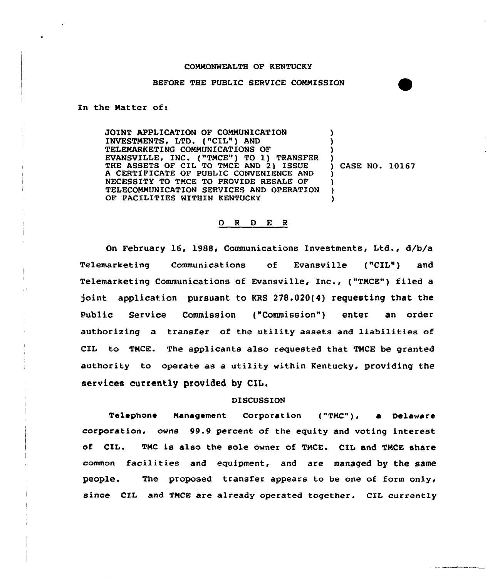#### COMMONWEALTH OF KENTUCKY

## BEFORE THE PUBLIC SERVICE COMMISSION

In the Natter of:

JOINT APPLICATION OF COMMUNICATION INVESTMENTS, LTD. {"CIL") AND TELEMARKETING COMMUNICATIONS OF EVANSVILLE, INC. ("TMCE") TO 1) TRANSFER THE ASSETS OF CIL TO TMCE AND 2) ISSUE A CERTIFICATE OF PUBLIC CONVENIENCE AND NECESSITY TO TMCE TO PROVIDE RESALE OF TELECOMMUNICATION SERVICES AND OPERATION OF FACILITIES WITHIN KENTUCKY ) ) ) ) ) CASE NO. 10167 ) ) ) )

### 0 <sup>R</sup> <sup>D</sup> E <sup>R</sup>

On February 16, 1988, Communications Investments, Ltd., d/b/a Telemarketing Communications of Evansville {"CIL") and Telemarketing Communications of Evansville, Inc., {"TMCE") filed a joint application pursuant to KRS 278.020(4) requesting that the Public Service Commission ("Commission") enter an order authorizing a transfer of the utility assets and liabilities of CIL to TMCE. The applicants also requested that TMCE be granted authority to operate as a utility within Kentucky, providing the services currently provided by CIL.

## DISCUSSION

Telephone Management Corporation {"TMC"), a Delaware corporation, owns 99.9 percent of the equity and voting interest of CIL. TMC is also the sole owner of TMCE. CIL and TMCE share common facilities and equipment, and are managed by the same people. The proposed transfer appears to be one of form only, since CIL and TMCE are already operated together. CIL currently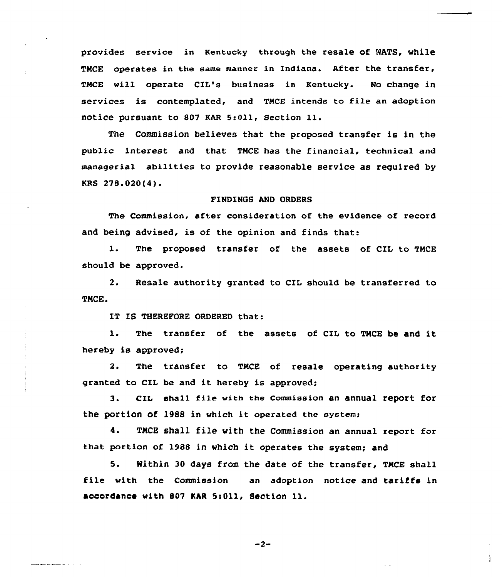provides service in Kentucky through the resale of RATS, while TMCE operates in the same manner in Indiana. After the transfer, TMCE will operate CIL's business in Kentucky. No change in services is contemplated, and TMCE intends to file an adoption notice pursuant to <sup>807</sup> KAR 5:Oll, Section ll.

The Commission believes that the proposed transfer is in the public interest and that TMCE has the financial, technical and managerial abilities to provide reasonable service as required by KRS 278.020(4).

# FINDINGS AND ORDERS

The Commission, after consideration of the evidence of record and being advised, is of the opinion and finds that:

1. The proposed transfer of the assets of CIL to TMCE should be approved.

2. Resale authority granted to CIL should be transferred to TMCE.

IT IS THEREFORE ORDERED that:

1. The transfer of the assets of CIL to TMCE be and it hereby is approved;

2. The transfer to TMCE of resale operating authority granted to CII be and it hereby is approved;

3. cIL shall file with the commission an annual report for the portion of l988 in which it operated the system;

4. TMCE shall file with the Commission an annual report for that portion of 1988 in which it operates the system; and

5. Mithin 30 days from the date of the transfer, TMCE shall file with the Commission an adoption notice and tariffs in accordance with 807 KAR 5:011, Section 11.

 $-2-$